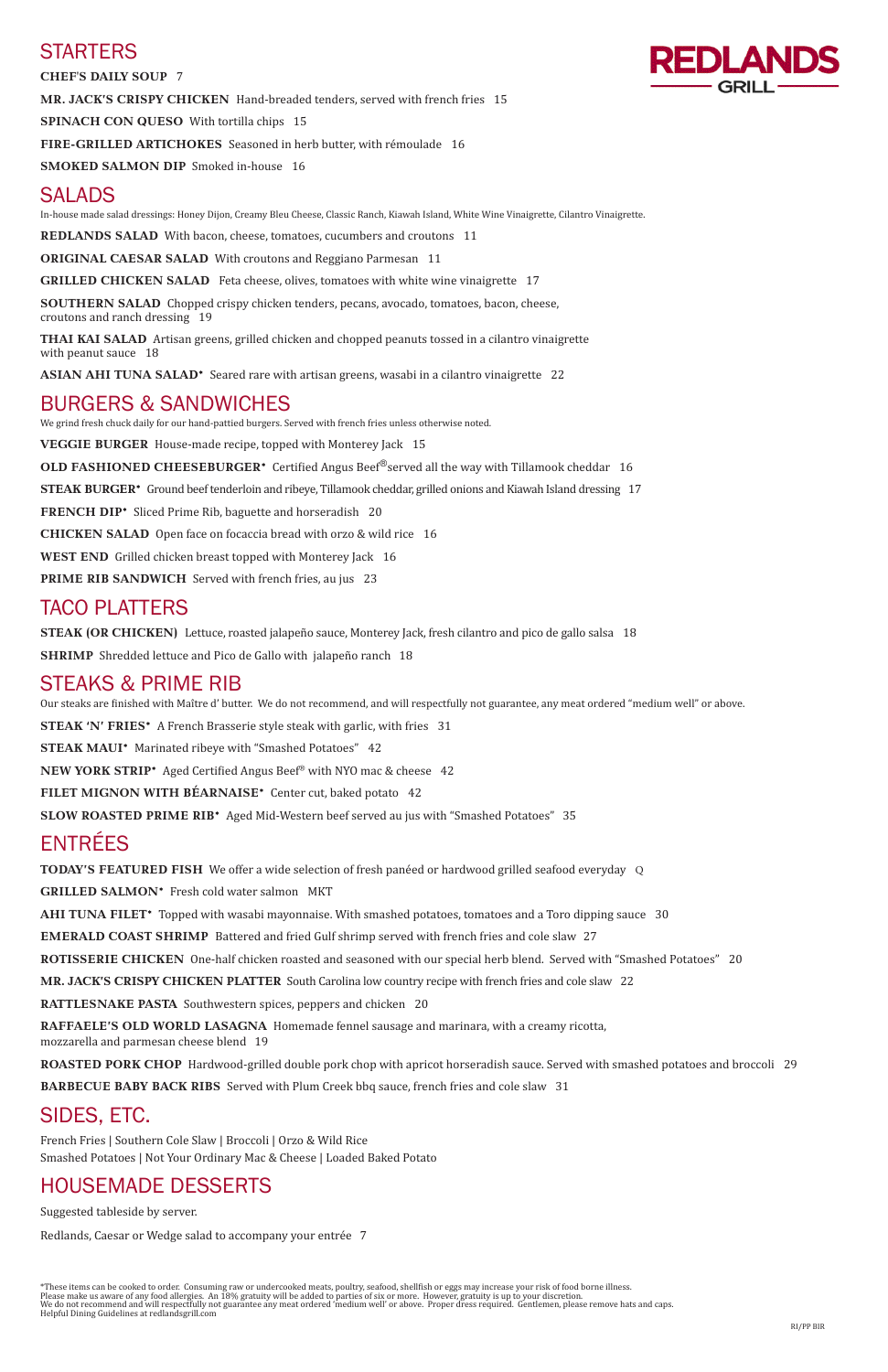# **STARTERS**

**CHEF'S DAILY SOUP** 7

**MR. JACK'S CRISPY CHICKEN** Hand-breaded tenders, served with french fries 15

**SPINACH CON QUESO** With tortilla chips 15

**FIRE-GRILLED ARTICHOKES** Seasoned in herb butter, with rémoulade 16

**SMOKED SALMON DIP** Smoked in-house 16

# SALADS

In-house made salad dressings: Honey Dijon, Creamy Bleu Cheese, Classic Ranch, Kiawah Island, White Wine Vinaigrette, Cilantro Vinaigrette.

**THAI KAI SALAD** Artisan greens, grilled chicken and chopped peanuts tossed in a cilantro vinaigrette with peanut sauce 18

ASIAN AHI TUNA SALAD<sup>\*</sup> Seared rare with artisan greens, wasabi in a cilantro vinaigrette 22

**REDLANDS SALAD** With bacon, cheese, tomatoes, cucumbers and croutons 11

**ORIGINAL CAESAR SALAD** With croutons and Reggiano Parmesan 11

**GRILLED CHICKEN SALAD** Feta cheese, olives, tomatoes with white wine vinaigrette 17

**SOUTHERN SALAD** Chopped crispy chicken tenders, pecans, avocado, tomatoes, bacon, cheese, croutons and ranch dressing 19

# BURGERS & SANDWICHES

We grind fresh chuck daily for our hand-pattied burgers. Served with french fries unless otherwise noted.

**VEGGIE BURGER** House-made recipe, topped with Monterey Jack 15

**OLD FASHIONED CHEESEBURGER\*** Certified Angus Beef<sup>®</sup>served all the way with Tillamook cheddar 16

**STEAK BURGER\*** Ground beef tenderloin and ribeye, Tillamook cheddar, grilled onions and Kiawah Island dressing 17

**FRENCH DIP\*** Sliced Prime Rib, baguette and horseradish 20

**CHICKEN SALAD** Open face on focaccia bread with orzo & wild rice 16

**WEST END** Grilled chicken breast topped with Monterey Jack 16

**PRIME RIB SANDWICH** Served with french fries, au jus 23

# TACO PLATTERS

**STEAK (OR CHICKEN)** Lettuce, roasted jalapeño sauce, Monterey Jack, fresh cilantro and pico de gallo salsa 18

**SHRIMP** Shredded lettuce and Pico de Gallo with jalapeño ranch 18

## STEAKS & PRIME RIB

Our steaks are finished with Maître d' butter. We do not recommend, and will respectfully not guarantee, any meat ordered "medium well" or above.

**STEAK 'N' FRIES\*** A French Brasserie style steak with garlic, with fries 31

**STEAK MAUI\*** Marinated ribeye with "Smashed Potatoes" 42

**NEW YORK STRIP\*** Aged Certified Angus Beef® with NYO mac & cheese 42

**FILET MIGNON WITH BÉARNAISE\*** Center cut, baked potato 42

**SLOW ROASTED PRIME RIB\*** Aged Mid-Western beef served au jus with "Smashed Potatoes" 35

# ENTRÉES

**TODAY'S FEATURED FISH** We offer a wide selection of fresh panéed or hardwood grilled seafood everyday Q **GRILLED SALMON\*** Fresh cold water salmon MKT **AHI TUNA FILET\*** Topped with wasabi mayonnaise. With smashed potatoes, tomatoes and a Toro dipping sauce 30 **EMERALD COAST SHRIMP** Battered and fried Gulf shrimp served with french fries and cole slaw27 **ROTISSERIE CHICKEN** One-half chicken roasted and seasoned with our special herb blend. Served with "Smashed Potatoes" 20 **MR. JACK'S CRISPY CHICKEN PLATTER** South Carolina low country recipe with french fries and cole slaw 22

**RATTLESNAKE PASTA** Southwestern spices, peppers and chicken 20



**RAFFAELE'S OLD WORLD LASAGNA** Homemade fennel sausage and marinara, with a creamy ricotta, mozzarella and parmesan cheese blend 19

**ROASTED PORK CHOP** Hardwood-grilled double pork chop with apricot horseradish sauce. Served with smashed potatoes and broccoli 29

**BARBECUE BABY BACK RIBS** Served with Plum Creek bbq sauce, french fries and cole slaw 31

SIDES, ETC.

French Fries | Southern Cole Slaw | Broccoli | Orzo & Wild Rice Smashed Potatoes | Not Your Ordinary Mac & Cheese | Loaded Baked Potato

## HOUSEMADE DESSERTS

Suggested tableside by server.

Redlands, Caesar or Wedge salad to accompany your entrée 7

\*These items can be cooked to order. Consuming raw or undercooked meats, poultry, seafood, shellfish or eggs may increase your risk of food borne illness. Please make us aware of any food allergies. An 18% gratuity will be added to parties of six or more. However, gratuity is up to your discretion. We do not recommend and will respectfully not guarantee any meat ordered 'medium well' or above. Proper dress required. Gentlemen, please remove hats and caps. Helpful Dining Guidelines at redlandsgrill.com